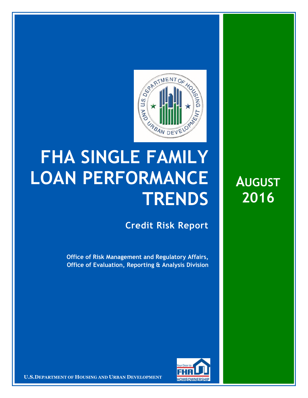

## **FHA SINGLE FAMILY LOAN PERFORMANCE TRENDS**

**Credit Risk Report**

**Office of Risk Management and Regulatory Affairs, Office of Evaluation, Reporting & Analysis Division** 



**U.S.DEPARTMENT OF HOUSING AND URBAN DEVELOPMENT** 

**AUGUST 2016**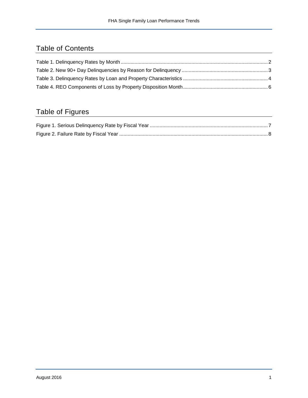## Table of Contents

## Table of Figures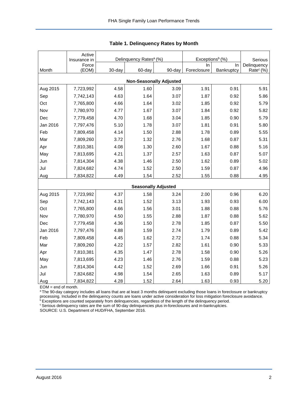|                                | Active<br>Insurance in |        | Delinquency Rates <sup>a</sup> (%) |                            | Exceptions <sup>b</sup> (%) | Serious    |                       |  |  |  |  |
|--------------------------------|------------------------|--------|------------------------------------|----------------------------|-----------------------------|------------|-----------------------|--|--|--|--|
|                                | Force                  |        |                                    |                            | In.                         | In         | Delinquency           |  |  |  |  |
| Month                          | (EOM)                  | 30-day | 60-day                             | 90-day                     | Foreclosure                 | Bankruptcy | Rate <sup>c</sup> (%) |  |  |  |  |
| <b>Non-Seasonally Adjusted</b> |                        |        |                                    |                            |                             |            |                       |  |  |  |  |
| Aug 2015                       | 7,723,992              | 4.58   | 1.60                               | 3.09                       | 1.91                        | 0.91       | 5.91                  |  |  |  |  |
| Sep                            | 7,742,143              | 4.63   | 1.64                               | 3.07                       | 1.87                        | 0.92       | 5.86                  |  |  |  |  |
| Oct                            | 7,765,800              | 4.66   | 1.64                               | 3.02                       | 1.85                        | 0.92       | 5.79                  |  |  |  |  |
| Nov                            | 7,780,970              | 4.77   | 1.67                               | 3.07                       | 1.84                        | 0.92       | 5.82                  |  |  |  |  |
| Dec                            | 7,779,458              | 4.70   | 1.68                               | 3.04                       | 1.85                        | 0.90       | 5.79                  |  |  |  |  |
| Jan 2016                       | 7,797,476              | 5.10   | 1.78                               | 3.07                       | 1.81                        | 0.91       | 5.80                  |  |  |  |  |
| Feb                            | 7,809,458              | 4.14   | 1.50                               | 2.88                       | 1.78                        | 0.89       | 5.55                  |  |  |  |  |
| Mar                            | 7,809,260              | 3.72   | 1.32                               | 2.76                       | 1.68                        | 0.87       | 5.31                  |  |  |  |  |
| Apr                            | 7,810,381              | 4.08   | 1.30                               | 2.60                       | 1.67                        | 0.88       | 5.16                  |  |  |  |  |
| May                            | 7,813,695              | 4.21   | 1.37                               | 2.57                       | 1.63                        | 0.87       | 5.07                  |  |  |  |  |
| Jun                            | 7,814,304              | 4.38   | 1.46                               | 2.50                       | 1.62                        | 0.89       | 5.02                  |  |  |  |  |
| Jul                            | 7,824,682              | 4.74   | 1.52                               | 2.50                       | 1.59                        | 0.87       | 4.96                  |  |  |  |  |
| Aug                            | 7,834,822              | 4.49   | 1.54                               | 2.52                       | 1.55                        | 0.88       | 4.95                  |  |  |  |  |
|                                |                        |        |                                    | <b>Seasonally Adjusted</b> |                             |            |                       |  |  |  |  |
| Aug 2015                       | 7,723,992              | 4.37   | 1.58                               | 3.24                       | 2.00                        | 0.96       | 6.20                  |  |  |  |  |
| Sep                            | 7,742,143              | 4.31   | 1.52                               | 3.13                       | 1.93                        | 0.93       | 6.00                  |  |  |  |  |
| Oct                            | 7,765,800              | 4.66   | 1.56                               | 3.01                       | 1.88                        | 0.88       | 5.76                  |  |  |  |  |
| Nov                            | 7,780,970              | 4.50   | 1.55                               | 2.88                       | 1.87                        | 0.88       | 5.62                  |  |  |  |  |
| Dec                            | 7,779,458              | 4.36   | 1.50                               | 2.78                       | 1.85                        | 0.87       | 5.50                  |  |  |  |  |
| Jan 2016                       | 7,797,476              | 4.88   | 1.59                               | 2.74                       | 1.79                        | 0.89       | 5.42                  |  |  |  |  |
| Feb                            | 7,809,458              | 4.45   | 1.62                               | 2.72                       | 1.74                        | 0.88       | 5.34                  |  |  |  |  |
| Mar                            | 7,809,260              | 4.22   | 1.57                               | 2.82                       | 1.61                        | 0.90       | 5.33                  |  |  |  |  |
| Apr                            | 7,810,381              | 4.35   | 1.47                               | 2.78                       | 1.58                        | 0.90       | 5.26                  |  |  |  |  |
| May                            | 7,813,695              | 4.23   | 1.46                               | 2.76                       | 1.59                        | 0.88       | 5.23                  |  |  |  |  |
| Jun                            | 7,814,304              | 4.42   | 1.52                               | 2.69                       | 1.66                        | 0.91       | 5.26                  |  |  |  |  |
| Jul                            | 7,824,682              | 4.98   | 1.54                               | 2.65                       | 1.63                        | 0.89       | 5.17                  |  |  |  |  |
| Aug                            | 7,834,822              | 4.28   | 1.52                               | 2.64                       | 1.63                        | 0.93       | 5.20                  |  |  |  |  |

<span id="page-2-0"></span>

EOM = end of month.

<sup>a</sup>The 90-day category includes all loans that are at least 3 months delinquent excluding those loans in foreclosure or bankruptcy processing. Included in the delinquency counts are loans under active consideration for loss mitigation foreclosure avoidance.

<sup>b</sup> Exceptions are counted separately from delinquencies, regardless of the length of the delinquency period.

<sup>c</sup> Serious delinquency rates are the sum of 90-day delinquencies plus in-foreclosures and in-bankruptcies.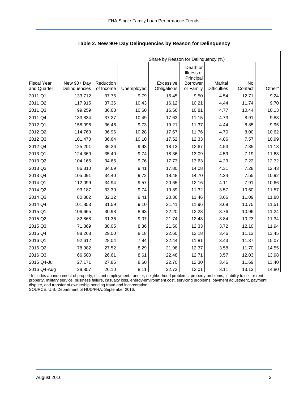<span id="page-3-0"></span>

|                                   |                              | Share by Reason for Delinquency (%) |            |                          |                                     |                                |               |                    |  |  |  |
|-----------------------------------|------------------------------|-------------------------------------|------------|--------------------------|-------------------------------------|--------------------------------|---------------|--------------------|--|--|--|
|                                   |                              |                                     |            |                          | Death or<br>Illness of<br>Principal |                                |               |                    |  |  |  |
| <b>Fiscal Year</b><br>and Quarter | New 90+ Day<br>Delinquencies | Reduction<br>of Income              | Unemployed | Excessive<br>Obligations | <b>Borrower</b><br>or Family        | Marital<br><b>Difficulties</b> | No<br>Contact | Other <sup>a</sup> |  |  |  |
| 2011 Q1                           | 133,712                      | 37.76                               | 9.79       | 16.45                    | 9.50                                | 4.54                           | 12.71         | 9.24               |  |  |  |
| 2011 Q2                           | 117,915                      | 37.36                               | 10.43      | 16.12                    | 10.21                               | 4.44                           | 11.74         | 9.70               |  |  |  |
| 2011 Q3                           | 99,259                       | 36.68                               | 10.60      | 16.56                    | 10.81                               | 4.77                           | 10.44         | 10.13              |  |  |  |
| 2011 Q4                           | 133,834                      | 37.27                               | 10.49      | 17.63                    | 11.15                               | 4.73                           | 8.91          | 9.83               |  |  |  |
| 2012 Q1                           | 158,096                      | 36.46                               | 9.73       | 19.21                    | 11.37                               | 4.44                           | 8.85          | 9.95               |  |  |  |
| 2012 Q2                           | 114,763                      | 36.96                               | 10.28      | 17.67                    | 11.76                               | 4.70                           | 8.00          | 10.62              |  |  |  |
| 2012 Q3                           | 101,470                      | 36.64                               | 10.10      | 17.52                    | 12.33                               | 4.86                           | 7.57          | 10.99              |  |  |  |
| 2012 Q4                           | 125,201                      | 36.26                               | 9.93       | 18.13                    | 12.67                               | 4.53                           | 7.35          | 11.13              |  |  |  |
| 2013 Q1                           | 124,360                      | 35.40                               | 9.74       | 18.36                    | 13.09                               | 4.59                           | 7.19          | 11.63              |  |  |  |
| 2013 Q2                           | 104,166                      | 34.66                               | 9.76       | 17.73                    | 13.63                               | 4.29                           | 7.22          | 12.72              |  |  |  |
| 2013 Q3                           | 86,810                       | 34.69                               | 9.41       | 17.80                    | 14.08                               | 4.31                           | 7.28          | 12.43              |  |  |  |
| 2013 Q4                           | 105,091                      | 34.40                               | 9.72       | 18.48                    | 14.70                               | 4.24                           | 7.55          | 10.92              |  |  |  |
| 2014 Q1                           | 112,099                      | 34.94                               | 9.57       | 20.65                    | 12.16                               | 4.11                           | 7.91          | 10.66              |  |  |  |
| 2014 Q2                           | 93,187                       | 33.30                               | 9.74       | 19.89                    | 11.32                               | 3.57                           | 10.60         | 11.57              |  |  |  |
| 2014 Q3                           | 80,882                       | 32.12                               | 9.41       | 20.36                    | 11.46                               | 3.66                           | 11.09         | 11.88              |  |  |  |
| 2014 Q4                           | 101,853                      | 31.59                               | 9.10       | 21.41                    | 11.96                               | 3.69                           | 10.75         | 11.51              |  |  |  |
| 2015 Q1                           | 106,665                      | 30.98                               | 8.63       | 22.20                    | 12.23                               | 3.76                           | 10.96         | 11.24              |  |  |  |
| 2015 Q2                           | 82,868                       | 31.36                               | 9.07       | 21.74                    | 12.43                               | 3.84                           | 10.23         | 11.34              |  |  |  |
| 2015 Q3                           | 71,869                       | 30.05                               | 8.36       | 21.50                    | 12.33                               | 3.72                           | 12.10         | 11.94              |  |  |  |
| 2015 Q4                           | 88,268                       | 29.00                               | 8.18       | 22.60                    | 12.18                               | 3.46                           | 11.13         | 13.45              |  |  |  |
| 2016 Q1                           | 92,612                       | 28.04                               | 7.84       | 22.44                    | 11.81                               | 3.43                           | 11.37         | 15.07              |  |  |  |
| 2016 Q2                           | 78,982                       | 27.52                               | 8.29       | 21.98                    | 12.37                               | 3.58                           | 11.70         | 14.55              |  |  |  |
| 2016 Q3                           | 66,500                       | 26.61                               | 8.61       | 22.48                    | 12.71                               | 3.57                           | 12.03         | 13.98              |  |  |  |
| 2016 Q4-Jul                       | 27,171                       | 27.86                               | 8.60       | 22.70                    | 12.30                               | 3.46                           | 11.69         | 13.40              |  |  |  |
| 2016 Q4-Aug                       | 28,857                       | 26.10                               | 8.11       | 22.73                    | 12.01                               | 3.11                           | 13.13         | 14.80              |  |  |  |

<span id="page-3-1"></span>**Table 2. New 90+ Day Delinquencies by Reason for Delinquency** 

a Includes abandonment of property, distant employment transfer, neighborhood problems, property problems, inability to sell or rent property, military service, business failure, casualty loss, energy-environment cost, servicing problems, payment adjustment, payment dispute, and transfer of ownership pending fraud and incarceration.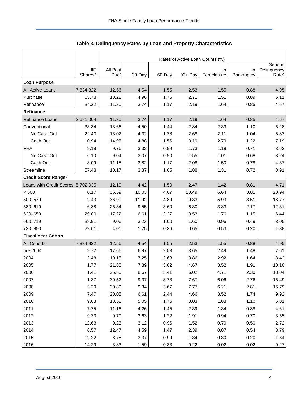<span id="page-4-0"></span>

|                                    |                                   | Rates of Active Loan Counts (%) |        |        |            |                   |                   |                                  |  |  |  |
|------------------------------------|-----------------------------------|---------------------------------|--------|--------|------------|-------------------|-------------------|----------------------------------|--|--|--|
|                                    |                                   |                                 |        |        |            |                   |                   |                                  |  |  |  |
|                                    | <b>IIF</b><br>Shares <sup>a</sup> | All Past<br>Due <sup>b</sup>    | 30-Day | 60-Day | $90 + Day$ | In<br>Foreclosure | In.<br>Bankruptcy | Delinquency<br>Rate <sup>c</sup> |  |  |  |
| <b>Loan Purpose</b>                |                                   |                                 |        |        |            |                   |                   |                                  |  |  |  |
| All Active Loans                   | 7,834,822                         | 12.56                           | 4.54   | 1.55   | 2.53       | 1.55              | 0.88              | 4.95                             |  |  |  |
| Purchase                           | 65.78                             | 13.22                           | 4.96   | 1.75   | 2.71       | 1.51              | 0.89              | 5.11                             |  |  |  |
| Refinance                          | 34.22                             | 11.30                           | 3.74   | 1.17   | 2.19       | 1.64              | 0.85              | 4.67                             |  |  |  |
| <b>Refinance</b>                   |                                   |                                 |        |        |            |                   |                   |                                  |  |  |  |
| Refinance Loans                    | 2,681,004                         | 11.30                           | 3.74   | 1.17   | 2.19       | 1.64              | 0.85              | 4.67                             |  |  |  |
| Conventional                       | 33.34                             | 13.66                           | 4.50   | 1.44   | 2.84       | 2.33              | 1.10              | 6.28                             |  |  |  |
| No Cash Out                        | 22.40                             | 13.02                           | 4.32   | 1.38   | 2.68       | 2.11              | 1.04              | 5.83                             |  |  |  |
| Cash Out                           | 10.94                             | 14.95                           | 4.88   | 1.56   | 3.19       | 2.79              | 1.22              | 7.19                             |  |  |  |
| <b>FHA</b>                         | 9.18                              | 9.76                            | 3.32   | 0.99   | 1.73       | 1.18              | 0.71              | 3.62                             |  |  |  |
| No Cash Out                        | 6.10                              | 9.04                            | 3.07   | 0.90   | 1.55       | 1.01              | 0.68              | 3.24                             |  |  |  |
| Cash Out                           | 3.09                              | 11.18                           | 3.82   | 1.17   | 2.08       | 1.50              | 0.78              | 4.37                             |  |  |  |
| Streamline                         | 57.48                             | 10.17                           | 3.37   | 1.05   | 1.88       | 1.31              | 0.72              | 3.91                             |  |  |  |
| Credit Score Ranged                |                                   |                                 |        |        |            |                   |                   |                                  |  |  |  |
| Loans with Credit Scores 5,702,035 |                                   | 12.19                           | 4.42   | 1.50   | 2.47       | 1.42              | 0.81              | 4.71                             |  |  |  |
| < 500                              | 0.17                              | 36.59                           | 10.03  | 4.67   | 10.49      | 6.64              | 3.81              | 20.94                            |  |  |  |
| 500-579                            | 2.43                              | 36.90                           | 11.92  | 4.89   | 9.33       | 5.93              | 3.51              | 18.77                            |  |  |  |
| 580-619                            | 6.88                              | 26.34                           | 9.55   | 3.60   | 6.30       | 3.83              | 2.17              | 12.31                            |  |  |  |
| 620-659                            | 29.00                             | 17.22                           | 6.61   | 2.27   | 3.53       | 1.76              | 1.15              | 6.44                             |  |  |  |
| 660-719                            | 38.91                             | 9.06                            | 3.23   | 1.00   | 1.60       | 0.96              | 0.49              | 3.05                             |  |  |  |
| 720-850                            | 22.61                             | 4.01                            | 1.25   | 0.36   | 0.65       | 0.53              | 0.20              | 1.38                             |  |  |  |
| <b>Fiscal Year Cohort</b>          |                                   |                                 |        |        |            |                   |                   |                                  |  |  |  |
| <b>All Cohorts</b>                 | 7,834,822                         | 12.56                           | 4.54   | 1.55   | 2.53       | 1.55              | 0.88              | 4.95                             |  |  |  |
| pre-2004                           | 9.72                              | 17.66                           | 6.97   | 2.53   | 3.65       | 2.49              | 1.48              | 7.61                             |  |  |  |
| 2004                               | 2.48                              | 19.15                           | 7.25   | 2.68   | 3.86       | 2.92              | 1.64              | 8.42                             |  |  |  |
| 2005                               | 1.77                              | 21.88                           | 7.89   | 3.02   | 4.67       | 3.52              | 1.91              | 10.10                            |  |  |  |
| 2006                               | 1.41                              | 25.80                           | 8.67   | 3.41   | 6.02       | 4.71              | 2.30              | 13.04                            |  |  |  |
| 2007                               | 1.37                              | 30.52                           | 9.37   | 3.73   | 7.67       | 6.06              | 2.76              | 16.49                            |  |  |  |
| 2008                               | 3.30                              | 30.89                           | 9.34   | 3.67   | 7.77       | 6.21              | 2.81              | 16.79                            |  |  |  |
| 2009                               | 7.47                              | 20.05                           | 6.61   | 2.44   | 4.66       | 3.52              | 1.74              | 9.92                             |  |  |  |
| 2010                               | 9.68                              | 13.52                           | 5.05   | 1.76   | 3.03       | 1.88              | 1.10              | 6.01                             |  |  |  |
| 2011                               | 7.75                              | 11.16                           | 4.26   | 1.45   | 2.39       | 1.34              | 0.88              | 4.61                             |  |  |  |
| 2012                               | 9.33                              | 9.70                            | 3.63   | 1.22   | 1.91       | 0.94              | 0.70              | 3.55                             |  |  |  |
| 2013                               | 12.63                             | 9.23                            | 3.12   | 0.96   | 1.52       | 0.70              | 0.50              | 2.72                             |  |  |  |
| 2014                               | 6.57                              | 12.47                           | 4.59   | 1.47   | 2.39       | 0.87              | 0.54              | 3.79                             |  |  |  |
| 2015                               | 12.22                             | 8.75                            | 3.37   | 0.99   | 1.34       | 0.30              | 0.20              | 1.84                             |  |  |  |
| 2016                               | 14.29                             | 3.83                            | 1.59   | 0.33   | 0.22       | 0.02              | 0.02              | 0.27                             |  |  |  |

## <span id="page-4-1"></span>**Table 3. Delinquency Rates by Loan and Property Characteristics**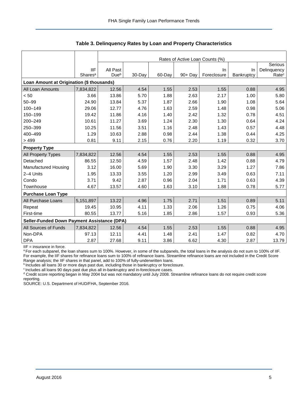|                                                    |                     | Rates of Active Loan Counts (%) |         |        |            |             |            |                   |  |  |  |  |
|----------------------------------------------------|---------------------|---------------------------------|---------|--------|------------|-------------|------------|-------------------|--|--|--|--|
|                                                    |                     |                                 | Serious |        |            |             |            |                   |  |  |  |  |
|                                                    | <b>IIF</b>          | All Past                        |         |        |            | In.         | <b>In</b>  | Delinquency       |  |  |  |  |
|                                                    | Shares <sup>a</sup> | Dueb                            | 30-Day  | 60-Day | $90 + Day$ | Foreclosure | Bankruptcy | Rate <sup>c</sup> |  |  |  |  |
| Loan Amount at Origination (\$ thousands)          |                     |                                 |         |        |            |             |            |                   |  |  |  |  |
| All Loan Amounts                                   | 7,834,822           | 12.56                           | 4.54    | 1.55   | 2.53       | 1.55        | 0.88       | 4.95              |  |  |  |  |
| < 50                                               | 3.66                | 13.86                           | 5.70    | 1.88   | 2.63       | 2.17        | 1.00       | 5.80              |  |  |  |  |
| $50 - 99$                                          | 24.90               | 13.84                           | 5.37    | 1.87   | 2.66       | 1.90        | 1.08       | 5.64              |  |  |  |  |
| 100-149                                            | 29.06               | 12.77                           | 4.76    | 1.63   | 2.59       | 1.48        | 0.98       | 5.06              |  |  |  |  |
| 150-199                                            | 19.42               | 11.86                           | 4.16    | 1.40   | 2.42       | 1.32        | 0.78       | 4.51              |  |  |  |  |
| 200-249                                            | 10.61               | 11.27                           | 3.69    | 1.24   | 2.30       | 1.30        | 0.64       | 4.24              |  |  |  |  |
| 250-399                                            | 10.25               | 11.56                           | 3.51    | 1.16   | 2.48       | 1.43        | 0.57       | 4.48              |  |  |  |  |
| 400-499                                            | 1.29                | 10.63                           | 2.88    | 0.98   | 2.44       | 1.38        | 0.44       | 4.25              |  |  |  |  |
| >499                                               | 0.81                | 9.11                            | 2.15    | 0.76   | 2.20       | 1.19        | 0.32       | 3.70              |  |  |  |  |
| <b>Property Type</b>                               |                     |                                 |         |        |            |             |            |                   |  |  |  |  |
| All Property Types                                 | 7,834,822           | 12.56                           | 4.54    | 1.55   | 2.53       | 1.55        | 0.88       | 4.95              |  |  |  |  |
| Detached                                           | 86.55               | 12.50                           | 4.59    | 1.57   | 2.48       | 1.42        | 0.88       | 4.79              |  |  |  |  |
| Manufactured Housing                               | 3.12                | 16.00                           | 5.69    | 1.90   | 3.30       | 3.29        | 1.27       | 7.86              |  |  |  |  |
| 2-4 Units                                          | 1.95                | 13.33                           | 3.55    | 1.20   | 2.99       | 3.49        | 0.63       | 7.11              |  |  |  |  |
| Condo                                              | 3.71                | 9.42                            | 2.87    | 0.96   | 2.04       | 1.71        | 0.63       | 4.39              |  |  |  |  |
| Townhouse                                          | 4.67                | 13.57                           | 4.60    | 1.63   | 3.10       | 1.88        | 0.78       | 5.77              |  |  |  |  |
| <b>Purchase Loan Type</b>                          |                     |                                 |         |        |            |             |            |                   |  |  |  |  |
| All Purchase Loans                                 | 5,151,897           | 13.22                           | 4.96    | 1.75   | 2.71       | 1.51        | 0.89       | 5.11              |  |  |  |  |
| Repeat                                             | 19.45               | 10.95                           | 4.11    | 1.33   | 2.06       | 1.26        | 0.75       | 4.06              |  |  |  |  |
| First-time                                         | 80.55               | 13.77                           | 5.16    | 1.85   | 2.86       | 1.57        | 0.93       | 5.36              |  |  |  |  |
| <b>Seller-Funded Down Payment Assistance (DPA)</b> |                     |                                 |         |        |            |             |            |                   |  |  |  |  |
| All Sources of Funds                               | 7,834,822           | 12.56                           | 4.54    | 1.55   | 2.53       | 1.55        | 0.88       | 4.95              |  |  |  |  |
| Non-DPA                                            | 97.13               | 12.11                           | 4.41    | 1.48   | 2.41       | 1.47        | 0.82       | 4.70              |  |  |  |  |
| <b>DPA</b>                                         | 2.87                | 27.68                           | 9.11    | 3.86   | 6.62       | 4.30        | 2.87       | 13.79             |  |  |  |  |

**Table 3. Delinquency Rates by Loan and Property Characteristics** 

IIF = insurance in force.

a For each subpanel, the loan shares sum to 100%. However, in some of the subpanels, the total loans in the analysis do not sum to 100% of IIF. For example, the IIF shares for refinance loans sum to 100% of refinance loans. Streamline refinance loans are not included in the Credit Score Range analysis; the IIF shares in that panel, add to 100% of fully-underwritten loans.

b Includes all loans 30 or more days past due, including those in bankruptcy or foreclosure.

<sup>c</sup> Includes all loans 90 days past due plus all in-bankruptcy and in-foreclosure cases.

<sup>d</sup> Credit score reporting began in May 2004 but was not mandatory until July 2008. Streamline refinance loans do not require credit score reporting.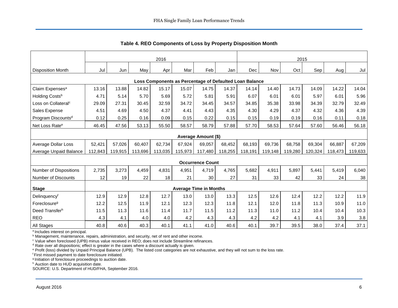<span id="page-6-0"></span>

|                                                         | 2016    |         |         |         |         |                               |         | 2015    |         |         |         |         |         |
|---------------------------------------------------------|---------|---------|---------|---------|---------|-------------------------------|---------|---------|---------|---------|---------|---------|---------|
| <b>Disposition Month</b>                                | Jul     | Jun     | May     | Apr     | Mar     | Feb                           | Jan     | Dec     | Nov     | Oct     | Sep     | Aug     | Jul     |
| Loss Components as Percentage of Defaulted Loan Balance |         |         |         |         |         |                               |         |         |         |         |         |         |         |
| Claim Expenses <sup>a</sup>                             | 13.16   | 13.88   | 14.82   | 15.17   | 15.07   | 14.75                         | 14.37   | 14.14   | 14.40   | 14.73   | 14.09   | 14.22   | 14.04   |
| Holding Costs <sup>b</sup>                              | 4.71    | 5.14    | 5.70    | 5.69    | 5.72    | 5.81                          | 5.91    | 6.07    | 6.01    | 6.01    | 5.97    | 6.01    | 5.96    |
| Loss on Collateral <sup>c</sup>                         | 29.09   | 27.31   | 30.45   | 32.59   | 34.72   | 34.45                         | 34.57   | 34.85   | 35.38   | 33.98   | 34.39   | 32.79   | 32.49   |
| Sales Expense                                           | 4.51    | 4.69    | 4.50    | 4.37    | 4.41    | 4.43                          | 4.35    | 4.30    | 4.29    | 4.37    | 4.32    | 4.36    | 4.39    |
| Program Discounts <sup>d</sup>                          | 0.12    | 0.25    | 0.16    | 0.09    | 0.15    | 0.22                          | 0.15    | 0.15    | 0.19    | 0.19    | 0.16    | 0.11    | 0.18    |
| Net Loss Rate <sup>e</sup>                              | 46.45   | 47.56   | 53.13   | 55.50   | 58.57   | 58.79                         | 57.88   | 57.70   | 58.53   | 57.64   | 57.60   | 56.46   | 56.18   |
| Average Amount (\$)                                     |         |         |         |         |         |                               |         |         |         |         |         |         |         |
| Average Dollar Loss                                     | 52,421  | 57,026  | 60,407  | 62,734  | 67,924  | 69,057                        | 68,452  | 68,193  | 69,736  | 68,758  | 69,304  | 66,887  | 67,209  |
| Average Unpaid Balance                                  | 112,843 | 119,915 | 113,696 | 113,035 | 115,973 | 117,480                       | 118,255 | 118,191 | 119,148 | 119,280 | 120,324 | 118,473 | 119,633 |
|                                                         |         |         |         |         |         | <b>Occurrence Count</b>       |         |         |         |         |         |         |         |
| Number of Dispositions                                  | 2,735   | 3,273   | 4,459   | 4,831   | 4,951   | 4,719                         | 4,765   | 5,682   | 4,911   | 5,897   | 5,441   | 5,419   | 6,040   |
| Number of Discounts                                     | 12      | 19      | 22      | 18      | 21      | 30                            | 27      | 31      | 33      | 42      | 33      | 24      | 38      |
| <b>Stage</b>                                            |         |         |         |         |         | <b>Average Time in Months</b> |         |         |         |         |         |         |         |
| Delinquencyf                                            | 12.9    | 12.9    | 12.8    | 12.7    | 13.0    | 13.0                          | 13.3    | 12.5    | 12.6    | 12.4    | 12.2    | 12.2    | 11.9    |
| Foreclosure <sup>g</sup>                                | 12.2    | 12.5    | 11.9    | 12.1    | 12.3    | 12.3                          | 11.8    | 12.1    | 12.0    | 11.8    | 11.3    | 10.9    | 11.0    |
| Deed Transferh                                          | 11.5    | 11.3    | 11.6    | 11.4    | 11.7    | 11.5                          | 11.2    | 11.3    | 11.0    | 11.2    | 10.4    | 10.4    | 10.3    |
| <b>REO</b>                                              | 4.3     | 4.1     | 4.0     | 4.0     | 4.2     | 4.3                           | 4.3     | 4.2     | 4.2     | 4.1     | 4.1     | 3.9     | 3.8     |
| <b>All Stages</b>                                       | 40.8    | 40.6    | 40.3    | 40.1    | 41.1    | 41.0                          | 40.6    | 40.1    | 39.7    | 39.5    | 38.0    | 37.4    | 37.1    |

**Table 4. REO Components of Loss by Property Disposition Month** 

<sup>a</sup> Includes interest on principal.

<sup>b</sup> Management, maintenance, repairs, administration, and security, net of rent and other income.

c Value when foreclosed (UPB) minus value received in REO; does not include Streamline refinances.

<sup>d</sup> Rate over all dispositions; effect is greater in the cases where a discount actually is given.

e Profit (loss) divided by Unpaid Principal Balance (UPB). The listed cost categories are not exhaustive, and they will not sum to the loss rate.

<sup>f</sup>First missed payment to date foreclosure initiated.

g Initiation of foreclosure proceedings to auction date.

h Auction date to HUD acquisition date.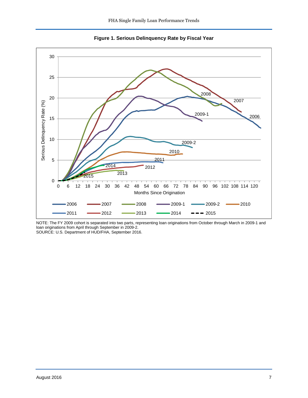<span id="page-7-0"></span>

<span id="page-7-1"></span>

NOTE: The FY 2009 cohort is separated into two parts, representing loan originations from October through March in 2009-1 and loan originations from April through September in 2009-2.